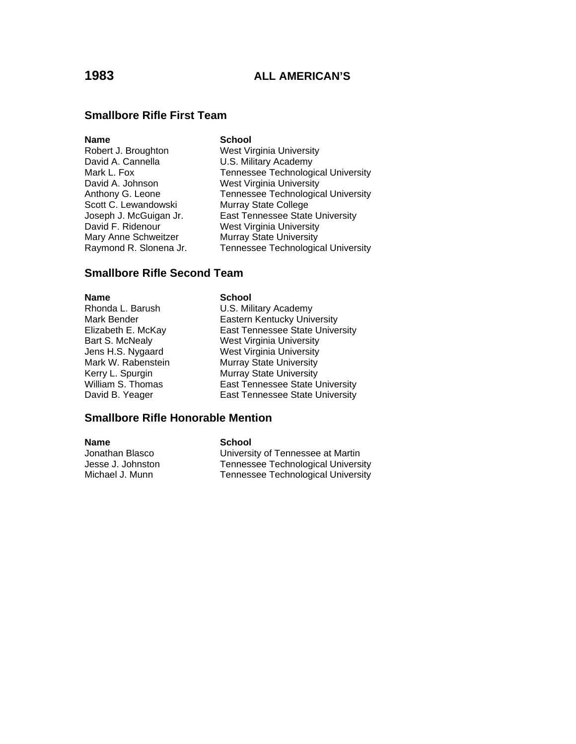## **Smallbore Rifle First Team**

| Name                   | <b>School</b>                             |
|------------------------|-------------------------------------------|
| Robert J. Broughton    | <b>West Virginia University</b>           |
| David A. Cannella      | U.S. Military Academy                     |
| Mark L. Fox            | <b>Tennessee Technological University</b> |
| David A. Johnson       | <b>West Virginia University</b>           |
| Anthony G. Leone       | <b>Tennessee Technological University</b> |
| Scott C. Lewandowski   | Murray State College                      |
| Joseph J. McGuigan Jr. | East Tennessee State University           |
| David F. Ridenour      | <b>West Virginia University</b>           |
| Mary Anne Schweitzer   | <b>Murray State University</b>            |
| Raymond R. Slonena Jr. | <b>Tennessee Technological University</b> |
|                        |                                           |

## **Smallbore Rifle Second Team**

**Name** School

Rhonda L. Barush U.S. Military Academy Mark Bender **Eastern Kentucky University**<br>Elizabeth E. McKay **Elizabeth E. McKay** East Tennessee State Unive Elizabeth E. McKay East Tennessee State University<br>Bart S. McNealy **East Virginia University** Bart S. McNealy<br>
Jens H.S. Nygaard West Virginia University Jens H.S. Nygaard<br>
Mark W. Rabenstein<br>
Murray State University Murray State University Kerry L. Spurgin Murray State University<br>
William S. Thomas East Tennessee State L William S. Thomas **East Tennessee State University**<br>
David B. Yeager **East Tennessee State University** East Tennessee State University

## **Smallbore Rifle Honorable Mention**

**Name**<br> **School**<br> **School**<br> **School**<br> **School**<br> **School** 

University of Tennessee at Martin Jesse J. Johnston Tennessee Technological University<br>Michael J. Munn Tennessee Technological University Tennessee Technological University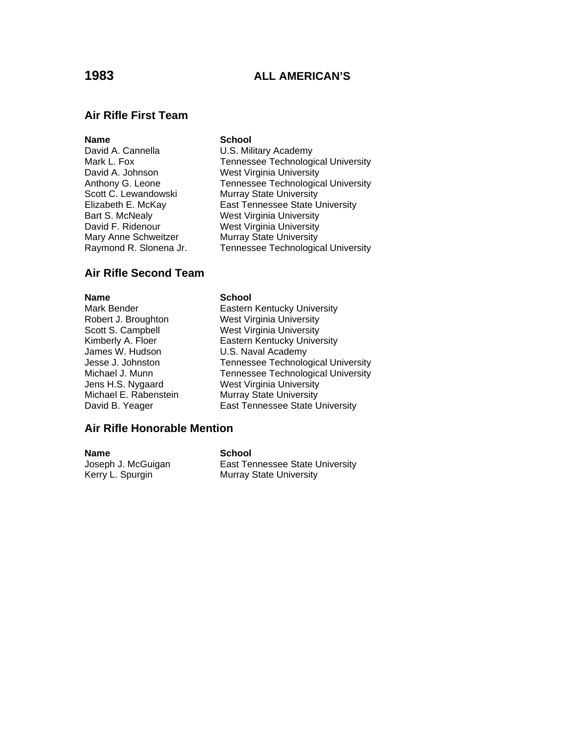## **Air Rifle First Team**

## **Name** School

David A. Johnson West Virginia University Scott C. Lewandowski Murray State University Bart S. McNealy West Virginia University David F. Ridenour West Virginia University Mary Anne Schweitzer Murray State University

David A. Cannella **U.S. Military Academy** Mark L. Fox Tennessee Technological University Anthony G. Leone Tennessee Technological University Elizabeth E. McKay East Tennessee State University Raymond R. Slonena Jr. Tennessee Technological University

## **Air Rifle Second Team**

## **Name** School

Mark Bender **Eastern Kentucky University** Robert J. Broughton West Virginia University Scott S. Campbell West Virginia University Kimberly A. Floer **Eastern Kentucky University**<br>James W. Hudson **Eastern Kentucky U.S. Naval Academy** U.S. Naval Academy Jesse J. Johnston Tennessee Technological University Michael J. Munn Tennessee Technological University Jens H.S. Nygaard West Virginia University Michael E. Rabenstein Murray State University David B. Yeager **East Tennessee State University** 

## **Air Rifle Honorable Mention**

**Name** School

Joseph J. McGuigan **East Tennessee State University** Kerry L. Spurgin Murray State University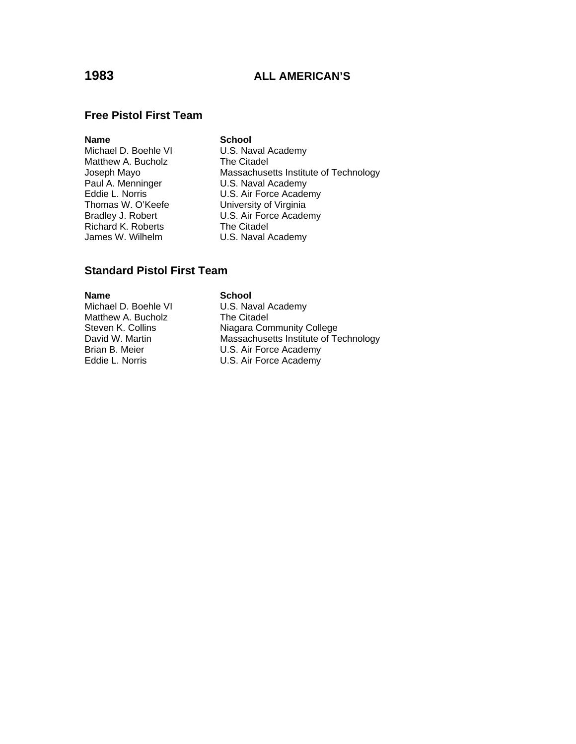## **Free Pistol First Team**

## **Name** School

Michael D. Boehle VI U.S. Naval Academy<br>
Matthew A. Bucholz The Citadel Matthew A. Bucholz<br>Joseph Mayo Paul A. Menninger U.S. Naval Academy<br>Eddie L. Norris U.S. Air Force Acade Richard K. Roberts<br>
James W. Wilhelm (U.S. Naval /

Massachusetts Institute of Technology Eddie L. Norris U.S. Air Force Academy University of Virginia Bradley J. Robert **U.S. Air Force Academy** U.S. Naval Academy

## **Standard Pistol First Team**

**Name School**<br>Michael D. Boehle VI **SCHOOL** Matthew A. Bucholz

U.S. Naval Academy<br>The Citadel Steven K. Collins Niagara Community College David W. Martin Massachusetts Institute of Technology Brian B. Meier **U.S. Air Force Academy** Eddie L. Norris **U.S.** Air Force Academy